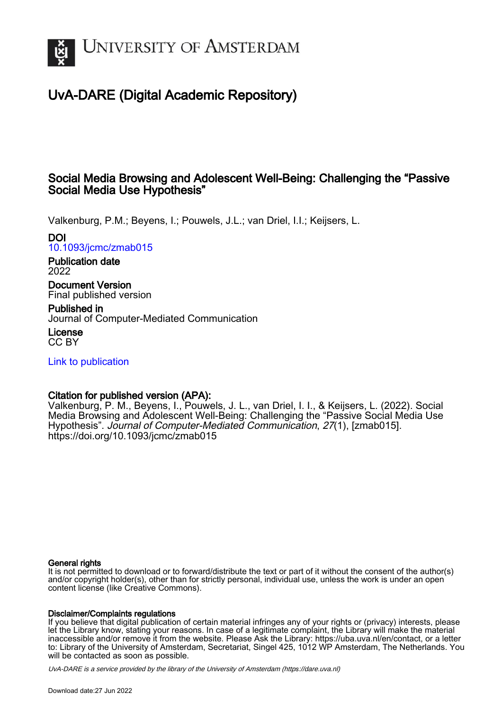

# UvA-DARE (Digital Academic Repository)

# Social Media Browsing and Adolescent Well-Being: Challenging the "Passive Social Media Use Hypothesis"

Valkenburg, P.M.; Beyens, I.; Pouwels, J.L.; van Driel, I.I.; Keijsers, L.

DOI

[10.1093/jcmc/zmab015](https://doi.org/10.1093/jcmc/zmab015)

Publication date 2022

Document Version Final published version

Published in Journal of Computer-Mediated Communication

License CC BY

[Link to publication](https://dare.uva.nl/personal/pure/en/publications/social-media-browsing-and-adolescent-wellbeing-challenging-the-passive-social-media-use-hypothesis(2ca2e55d-94f7-4e71-9dbc-e77daedccc4c).html)

# Citation for published version (APA):

Valkenburg, P. M., Beyens, I., Pouwels, J. L., van Driel, I. I., & Keijsers, L. (2022). Social Media Browsing and Adolescent Well-Being: Challenging the "Passive Social Media Use Hypothesis". Journal of Computer-Mediated Communication, 27(1), [zmab015]. <https://doi.org/10.1093/jcmc/zmab015>

## General rights

It is not permitted to download or to forward/distribute the text or part of it without the consent of the author(s) and/or copyright holder(s), other than for strictly personal, individual use, unless the work is under an open content license (like Creative Commons).

## Disclaimer/Complaints regulations

If you believe that digital publication of certain material infringes any of your rights or (privacy) interests, please let the Library know, stating your reasons. In case of a legitimate complaint, the Library will make the material inaccessible and/or remove it from the website. Please Ask the Library: https://uba.uva.nl/en/contact, or a letter to: Library of the University of Amsterdam, Secretariat, Singel 425, 1012 WP Amsterdam, The Netherlands. You will be contacted as soon as possible.

UvA-DARE is a service provided by the library of the University of Amsterdam (http*s*://dare.uva.nl)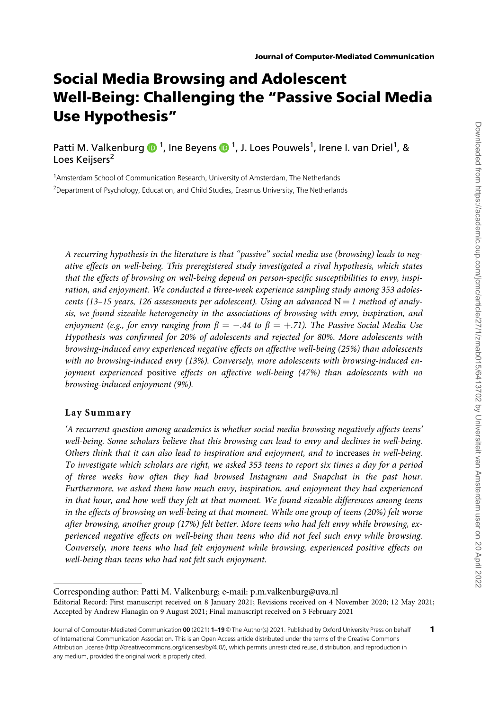# Social Media Browsing and Adolescent Well-Being: Challenging the "Passive Social Media Use Hypothesis"

Patti M. Valkenburg  $\bigcirc$  <sup>1</sup>, Ine Beyens  $\bigcirc$  <sup>1</sup>, J. Loes Pouwels<sup>1</sup>, Irene I. van Driel<sup>1</sup>, & Loes Keijsers<sup>2</sup>

<sup>1</sup>Amsterdam School of Communication Research, University of Amsterdam, The Netherlands <sup>2</sup>Department of Psychology, Education, and Child Studies, Erasmus University, The Netherlands

A recurring hypothesis in the literature is that "passive" social media use (browsing) leads to negative effects on well-being. This preregistered study investigated a rival hypothesis, which states that the effects of browsing on well-being depend on person-specific susceptibilities to envy, inspiration, and enjoyment. We conducted a three-week experience sampling study among 353 adolescents (13-15 years, 126 assessments per adolescent). Using an advanced  $N = 1$  method of analysis, we found sizeable heterogeneity in the associations of browsing with envy, inspiration, and enjoyment (e.g., for envy ranging from  $\beta=-.44$  to  $\beta=+.71$ ). The Passive Social Media Use Hypothesis was confirmed for 20% of adolescents and rejected for 80%. More adolescents with browsing-induced envy experienced negative effects on affective well-being (25%) than adolescents with no browsing-induced envy (13%). Conversely, more adolescents with browsing-induced enjoyment experienced positive effects on affective well-being (47%) than adolescents with no browsing-induced enjoyment (9%).

#### Lay Summary

'A recurrent question among academics is whether social media browsing negatively affects teens' well-being. Some scholars believe that this browsing can lead to envy and declines in well-being. Others think that it can also lead to inspiration and enjoyment, and to increases in well-being. To investigate which scholars are right, we asked 353 teens to report six times a day for a period of three weeks how often they had browsed Instagram and Snapchat in the past hour. Furthermore, we asked them how much envy, inspiration, and enjoyment they had experienced in that hour, and how well they felt at that moment. We found sizeable differences among teens in the effects of browsing on well-being at that moment. While one group of teens (20%) felt worse after browsing, another group (17%) felt better. More teens who had felt envy while browsing, experienced negative effects on well-being than teens who did not feel such envy while browsing. Conversely, more teens who had felt enjoyment while browsing, experienced positive effects on well-being than teens who had not felt such enjoyment.

Corresponding author: Patti M. Valkenburg; e-mail: p.m.valkenburg@uva.nl Editorial Record: First manuscript received on 8 January 2021; Revisions received on 4 November 2020; 12 May 2021; Accepted by Andrew Flanagin on 9 August 2021; Final manuscript received on 3 February 2021

Journal of Computer-Mediated Communication 00 (2021) 1-19 © The Author(s) 2021. Published by Oxford University Press on behalf of International Communication Association. This is an Open Access article distributed under the terms of the Creative Commons Attribution License (http://creativecommons.org/licenses/by/4.0/), which permits unrestricted reuse, distribution, and reproduction in any medium, provided the original work is properly cited.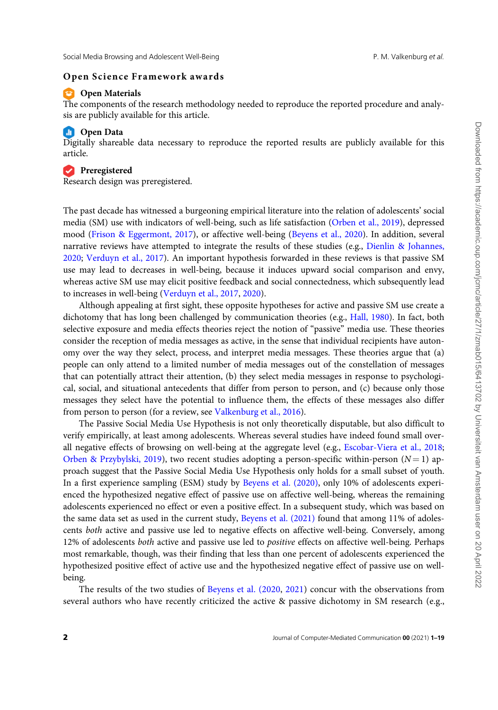#### Open Science Framework awards

#### **Commaterials**

The components of the research methodology needed to reproduce the reported procedure and analysis are publicly available for this article.

#### **Comparison** Open Data

Digitally shareable data necessary to reproduce the reported results are publicly available for this article.

#### **Preregistered**

Research design was preregistered.

The past decade has witnessed a burgeoning empirical literature into the relation of adolescents' social media (SM) use with indicators of well-being, such as life satisfaction [\(Orben et al., 2019](#page-18-0)), depressed mood ([Frison](#page-17-0) & [Eggermont, 2017\)](#page-17-0), or affective well-being ([Beyens et al., 2020\)](#page-16-0). In addition, several narrative reviews have attempted to integrate the results of these studies (e.g., [Dienlin & Johannes,](#page-16-0) [2020](#page-16-0); [Verduyn et al., 2017\)](#page-19-0). An important hypothesis forwarded in these reviews is that passive SM use may lead to decreases in well-being, because it induces upward social comparison and envy, whereas active SM use may elicit positive feedback and social connectedness, which subsequently lead to increases in well-being [\(Verduyn et al., 2017,](#page-19-0) [2020](#page-19-0)).

Although appealing at first sight, these opposite hypotheses for active and passive SM use create a dichotomy that has long been challenged by communication theories (e.g., [Hall, 1980](#page-17-0)). In fact, both selective exposure and media effects theories reject the notion of "passive" media use. These theories consider the reception of media messages as active, in the sense that individual recipients have autonomy over the way they select, process, and interpret media messages. These theories argue that (a) people can only attend to a limited number of media messages out of the constellation of messages that can potentially attract their attention, (b) they select media messages in response to psychological, social, and situational antecedents that differ from person to person, and (c) because only those messages they select have the potential to influence them, the effects of these messages also differ from person to person (for a review, see [Valkenburg et al., 2016\)](#page-19-0).

The Passive Social Media Use Hypothesis is not only theoretically disputable, but also difficult to verify empirically, at least among adolescents. Whereas several studies have indeed found small overall negative effects of browsing on well-being at the aggregate level (e.g., [Escobar-Viera et al., 2018](#page-17-0); [Orben & Przybylski, 2019](#page-18-0)), two recent studies adopting a person-specific within-person ( $N = 1$ ) approach suggest that the Passive Social Media Use Hypothesis only holds for a small subset of youth. In a first experience sampling (ESM) study by [Beyens et al. \(2020\)](#page-16-0), only 10% of adolescents experienced the hypothesized negative effect of passive use on affective well-being, whereas the remaining adolescents experienced no effect or even a positive effect. In a subsequent study, which was based on the same data set as used in the current study, [Beyens et al. \(2021\)](#page-16-0) found that among 11% of adolescents both active and passive use led to negative effects on affective well-being. Conversely, among 12% of adolescents both active and passive use led to positive effects on affective well-being. Perhaps most remarkable, though, was their finding that less than one percent of adolescents experienced the hypothesized positive effect of active use and the hypothesized negative effect of passive use on wellbeing.

The results of the two studies of [Beyens et al. \(2020](#page-16-0), [2021](#page-16-0)) concur with the observations from several authors who have recently criticized the active & passive dichotomy in SM research (e.g.,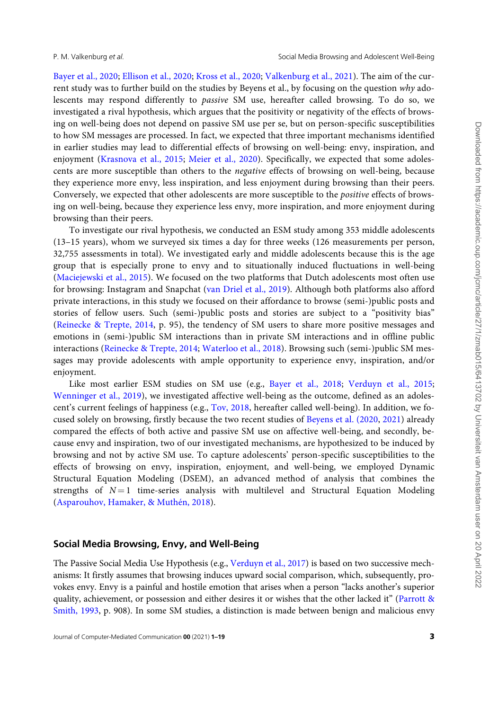[Bayer et al., 2020;](#page-16-0) [Ellison et al., 2020](#page-16-0); [Kross et al., 2020](#page-17-0); [Valkenburg et al., 2021\)](#page-19-0). The aim of the current study was to further build on the studies by Beyens et al., by focusing on the question why adolescents may respond differently to passive SM use, hereafter called browsing. To do so, we investigated a rival hypothesis, which argues that the positivity or negativity of the effects of browsing on well-being does not depend on passive SM use per se, but on person-specific susceptibilities to how SM messages are processed. In fact, we expected that three important mechanisms identified in earlier studies may lead to differential effects of browsing on well-being: envy, inspiration, and enjoyment ([Krasnova et al., 2015;](#page-17-0) [Meier et al., 2020](#page-17-0)). Specifically, we expected that some adolescents are more susceptible than others to the negative effects of browsing on well-being, because they experience more envy, less inspiration, and less enjoyment during browsing than their peers. Conversely, we expected that other adolescents are more susceptible to the positive effects of browsing on well-being, because they experience less envy, more inspiration, and more enjoyment during browsing than their peers.

To investigate our rival hypothesis, we conducted an ESM study among 353 middle adolescents (13–15 years), whom we surveyed six times a day for three weeks (126 measurements per person, 32,755 assessments in total). We investigated early and middle adolescents because this is the age group that is especially prone to envy and to situationally induced fluctuations in well-being [\(Maciejewski et al., 2015\)](#page-17-0). We focused on the two platforms that Dutch adolescents most often use for browsing: Instagram and Snapchat ([van Driel et al., 2019\)](#page-19-0). Although both platforms also afford private interactions, in this study we focused on their affordance to browse (semi-)public posts and stories of fellow users. Such (semi-)public posts and stories are subject to a "positivity bias" [\(Reinecke & Trepte, 2014,](#page-18-0) p. 95), the tendency of SM users to share more positive messages and emotions in (semi-)public SM interactions than in private SM interactions and in offline public interactions ([Reinecke & Trepte, 2014;](#page-18-0) [Waterloo et al., 2018\)](#page-19-0). Browsing such (semi-)public SM messages may provide adolescents with ample opportunity to experience envy, inspiration, and/or enjoyment.

Like most earlier ESM studies on SM use (e.g., [Bayer et al., 2018](#page-16-0); [Verduyn et al., 2015](#page-19-0); [Wenninger et al., 2019](#page-19-0)), we investigated affective well-being as the outcome, defined as an adolescent's current feelings of happiness (e.g., [Tov, 2018,](#page-18-0) hereafter called well-being). In addition, we focused solely on browsing, firstly because the two recent studies of [Beyens et al. \(2020](#page-16-0), [2021\)](#page-16-0) already compared the effects of both active and passive SM use on affective well-being, and secondly, because envy and inspiration, two of our investigated mechanisms, are hypothesized to be induced by browsing and not by active SM use. To capture adolescents' person-specific susceptibilities to the effects of browsing on envy, inspiration, enjoyment, and well-being, we employed Dynamic Structural Equation Modeling (DSEM), an advanced method of analysis that combines the strengths of  $N=1$  time-series analysis with multilevel and Structural Equation Modeling (Asparouhov, Hamaker, & Muthén, 2018).

### Social Media Browsing, Envy, and Well-Being

The Passive Social Media Use Hypothesis (e.g., [Verduyn et al., 2017\)](#page-19-0) is based on two successive mechanisms: It firstly assumes that browsing induces upward social comparison, which, subsequently, provokes envy. Envy is a painful and hostile emotion that arises when a person "lacks another's superior quality, achievement, or possession and either desires it or wishes that the other lacked it" [\(Parrott &](#page-18-0) [Smith, 1993](#page-18-0), p. 908). In some SM studies, a distinction is made between benign and malicious envy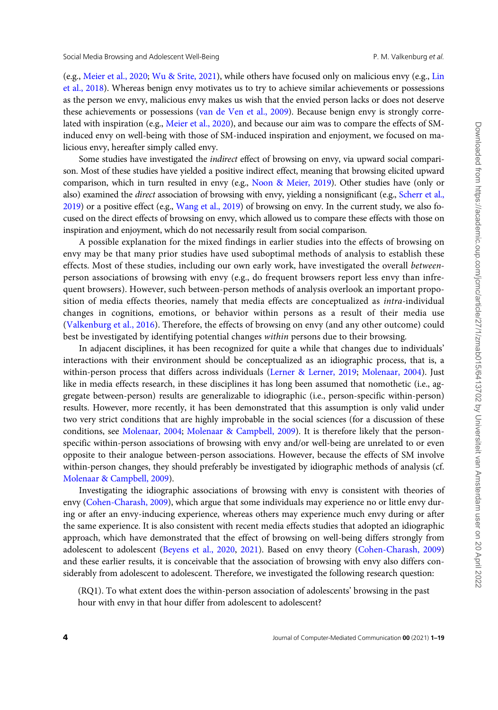(e.g., [Meier et al., 2020](#page-17-0); [Wu & Srite, 2021\)](#page-19-0), while others have focused only on malicious envy (e.g., [Lin](#page-17-0) [et al., 2018](#page-17-0)). Whereas benign envy motivates us to try to achieve similar achievements or possessions as the person we envy, malicious envy makes us wish that the envied person lacks or does not deserve these achievements or possessions [\(van de Ven et al., 2009](#page-19-0)). Because benign envy is strongly correlated with inspiration (e.g., [Meier et al., 2020](#page-17-0)), and because our aim was to compare the effects of SMinduced envy on well-being with those of SM-induced inspiration and enjoyment, we focused on malicious envy, hereafter simply called envy.

Some studies have investigated the indirect effect of browsing on envy, via upward social comparison. Most of these studies have yielded a positive indirect effect, meaning that browsing elicited upward comparison, which in turn resulted in envy (e.g., [Noon](#page-18-0) [& Meier, 2019\)](#page-18-0). Other studies have (only or also) examined the *direct* association of browsing with envy, yielding a nonsignificant (e.g., [Scherr et al.,](#page-18-0) [2019\)](#page-18-0) or a positive effect (e.g., [Wang et al., 2019\)](#page-19-0) of browsing on envy. In the current study, we also focused on the direct effects of browsing on envy, which allowed us to compare these effects with those on inspiration and enjoyment, which do not necessarily result from social comparison.

A possible explanation for the mixed findings in earlier studies into the effects of browsing on envy may be that many prior studies have used suboptimal methods of analysis to establish these effects. Most of these studies, including our own early work, have investigated the overall betweenperson associations of browsing with envy (e.g., do frequent browsers report less envy than infrequent browsers). However, such between-person methods of analysis overlook an important proposition of media effects theories, namely that media effects are conceptualized as intra-individual changes in cognitions, emotions, or behavior within persons as a result of their media use [\(Valkenburg et al., 2016\)](#page-19-0). Therefore, the effects of browsing on envy (and any other outcome) could best be investigated by identifying potential changes within persons due to their browsing.

In adjacent disciplines, it has been recognized for quite a while that changes due to individuals' interactions with their environment should be conceptualized as an idiographic process, that is, a within-person process that differs across individuals ([Lerner](#page-17-0) [& Lerner, 2019](#page-17-0); [Molenaar, 2004](#page-17-0)). Just like in media effects research, in these disciplines it has long been assumed that nomothetic (i.e., aggregate between-person) results are generalizable to idiographic (i.e., person-specific within-person) results. However, more recently, it has been demonstrated that this assumption is only valid under two very strict conditions that are highly improbable in the social sciences (for a discussion of these conditions, see [Molenaar, 2004](#page-17-0); [Molenaar](#page-18-0) [& Campbell, 2009\)](#page-18-0). It is therefore likely that the personspecific within-person associations of browsing with envy and/or well-being are unrelated to or even opposite to their analogue between-person associations. However, because the effects of SM involve within-person changes, they should preferably be investigated by idiographic methods of analysis (cf. [Molenaar & Campbell, 2009](#page-18-0)).

Investigating the idiographic associations of browsing with envy is consistent with theories of envy [\(Cohen-Charash, 2009](#page-16-0)), which argue that some individuals may experience no or little envy during or after an envy-inducing experience, whereas others may experience much envy during or after the same experience. It is also consistent with recent media effects studies that adopted an idiographic approach, which have demonstrated that the effect of browsing on well-being differs strongly from adolescent to adolescent [\(Beyens et al., 2020](#page-16-0), [2021](#page-16-0)). Based on envy theory [\(Cohen-Charash, 2009](#page-16-0)) and these earlier results, it is conceivable that the association of browsing with envy also differs considerably from adolescent to adolescent. Therefore, we investigated the following research question:

(RQ1). To what extent does the within-person association of adolescents' browsing in the past hour with envy in that hour differ from adolescent to adolescent?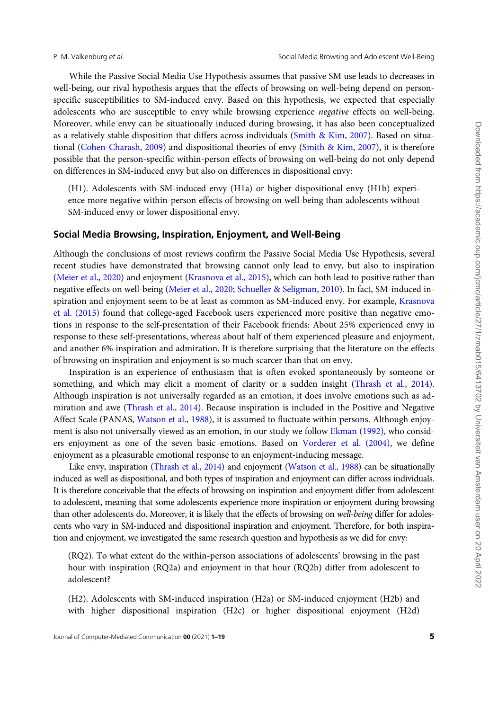While the Passive Social Media Use Hypothesis assumes that passive SM use leads to decreases in well-being, our rival hypothesis argues that the effects of browsing on well-being depend on personspecific susceptibilities to SM-induced envy. Based on this hypothesis, we expected that especially adolescents who are susceptible to envy while browsing experience negative effects on well-being. Moreover, while envy can be situationally induced during browsing, it has also been conceptualized as a relatively stable disposition that differs across individuals ([Smith](#page-18-0) [& Kim, 2007\)](#page-18-0). Based on situational ([Cohen-Charash, 2009](#page-16-0)) and dispositional theories of envy ([Smith & Kim, 2007](#page-18-0)), it is therefore possible that the person-specific within-person effects of browsing on well-being do not only depend on differences in SM-induced envy but also on differences in dispositional envy:

(H1). Adolescents with SM-induced envy (H1a) or higher dispositional envy (H1b) experience more negative within-person effects of browsing on well-being than adolescents without SM-induced envy or lower dispositional envy.

#### Social Media Browsing, Inspiration, Enjoyment, and Well-Being

Although the conclusions of most reviews confirm the Passive Social Media Use Hypothesis, several recent studies have demonstrated that browsing cannot only lead to envy, but also to inspiration [\(Meier et al., 2020\)](#page-17-0) and enjoyment ([Krasnova et al., 2015\)](#page-17-0), which can both lead to positive rather than negative effects on well-being ([Meier et al., 2020](#page-17-0); [Schueller](#page-18-0) [& Seligman, 2010\)](#page-18-0). In fact, SM-induced inspiration and enjoyment seem to be at least as common as SM-induced envy. For example, [Krasnova](#page-17-0) [et al. \(2015\)](#page-17-0) found that college-aged Facebook users experienced more positive than negative emotions in response to the self-presentation of their Facebook friends: About 25% experienced envy in response to these self-presentations, whereas about half of them experienced pleasure and enjoyment, and another 6% inspiration and admiration. It is therefore surprising that the literature on the effects of browsing on inspiration and enjoyment is so much scarcer than that on envy.

Inspiration is an experience of enthusiasm that is often evoked spontaneously by someone or something, and which may elicit a moment of clarity or a sudden insight ([Thrash et al., 2014](#page-18-0)). Although inspiration is not universally regarded as an emotion, it does involve emotions such as admiration and awe [\(Thrash et al., 2014\)](#page-18-0). Because inspiration is included in the Positive and Negative Affect Scale (PANAS, [Watson et al., 1988\)](#page-19-0), it is assumed to fluctuate within persons. Although enjoy-ment is also not universally viewed as an emotion, in our study we follow [Ekman \(1992\)](#page-16-0), who considers enjoyment as one of the seven basic emotions. Based on [Vorderer et al. \(2004\)](#page-19-0), we define enjoyment as a pleasurable emotional response to an enjoyment-inducing message.

Like envy, inspiration ([Thrash et al., 2014\)](#page-18-0) and enjoyment [\(Watson et al., 1988](#page-19-0)) can be situationally induced as well as dispositional, and both types of inspiration and enjoyment can differ across individuals. It is therefore conceivable that the effects of browsing on inspiration and enjoyment differ from adolescent to adolescent, meaning that some adolescents experience more inspiration or enjoyment during browsing than other adolescents do. Moreover, it is likely that the effects of browsing on well-being differ for adolescents who vary in SM-induced and dispositional inspiration and enjoyment. Therefore, for both inspiration and enjoyment, we investigated the same research question and hypothesis as we did for envy:

(RQ2). To what extent do the within-person associations of adolescents' browsing in the past hour with inspiration (RQ2a) and enjoyment in that hour (RQ2b) differ from adolescent to adolescent?

(H2). Adolescents with SM-induced inspiration (H2a) or SM-induced enjoyment (H2b) and with higher dispositional inspiration (H2c) or higher dispositional enjoyment (H2d)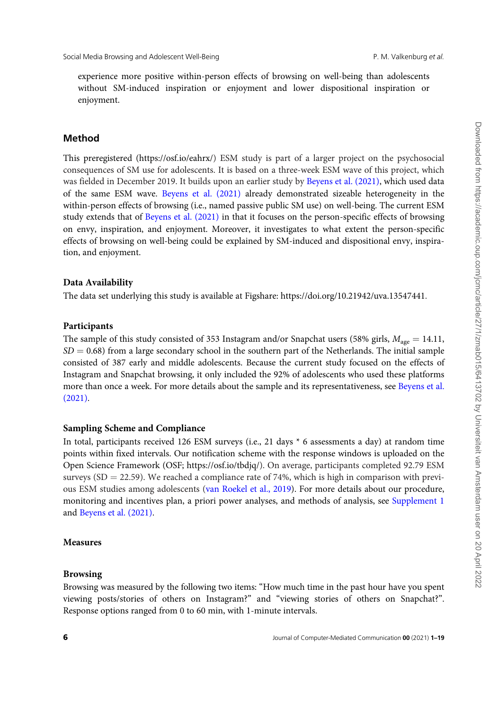experience more positive within-person effects of browsing on well-being than adolescents without SM-induced inspiration or enjoyment and lower dispositional inspiration or enjoyment.

### Method

This preregistered [\(https://osf.io/eahrx/](https://osf.io/eahrx/)) ESM study is part of a larger project on the psychosocial consequences of SM use for adolescents. It is based on a three-week ESM wave of this project, which was fielded in December 2019. It builds upon an earlier study by [Beyens et al. \(2021\),](#page-16-0) which used data of the same ESM wave. [Beyens et al. \(2021\)](#page-16-0) already demonstrated sizeable heterogeneity in the within-person effects of browsing (i.e., named passive public SM use) on well-being. The current ESM study extends that of [Beyens et al. \(2021\)](#page-16-0) in that it focuses on the person-specific effects of browsing on envy, inspiration, and enjoyment. Moreover, it investigates to what extent the person-specific effects of browsing on well-being could be explained by SM-induced and dispositional envy, inspiration, and enjoyment.

#### Data Availability

The data set underlying this study is available at Figshare:<https://doi.org/10.21942/uva.13547441>.

#### Participants

The sample of this study consisted of 353 Instagram and/or Snapchat users (58% girls,  $M_{\text{age}} = 14.11$ ,  $SD = 0.68$ ) from a large secondary school in the southern part of the Netherlands. The initial sample consisted of 387 early and middle adolescents. Because the current study focused on the effects of Instagram and Snapchat browsing, it only included the 92% of adolescents who used these platforms more than once a week. For more details about the sample and its representativeness, see [Beyens et al.](#page-16-0) [\(2021\).](#page-16-0)

#### Sampling Scheme and Compliance

In total, participants received 126 ESM surveys (i.e., 21 days \* 6 assessments a day) at random time points within fixed intervals. Our notification scheme with the response windows is uploaded on the Open Science Framework (OSF;<https://osf.io/tbdjq/>). On average, participants completed 92.79 ESM surveys (SD = 22.59). We reached a compliance rate of 74%, which is high in comparison with previous ESM studies among adolescents ([van Roekel et al., 2019](#page-19-0)). For more details about our procedure, monitoring and incentives plan, a priori power analyses, and methods of analysis, see [Supplement 1](https://academic.oup.com/jcmc/article-lookup/doi/10.1093/jcmc/zmab015#supplementary-data) and [Beyens et al. \(2021\)](#page-16-0).

### Measures

#### Browsing

Browsing was measured by the following two items: "How much time in the past hour have you spent viewing posts/stories of others on Instagram?" and "viewing stories of others on Snapchat?". Response options ranged from 0 to 60 min, with 1-minute intervals.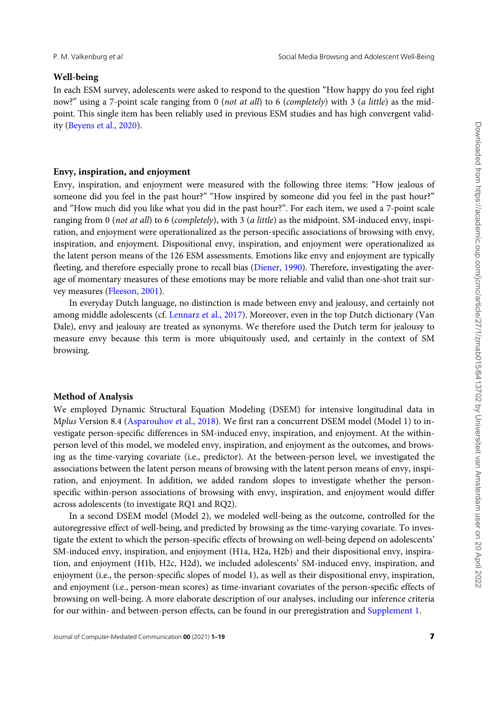#### Well-being

In each ESM survey, adolescents were asked to respond to the question "How happy do you feel right now?" using a 7-point scale ranging from 0 (not at all) to 6 (completely) with 3 (a little) as the midpoint. This single item has been reliably used in previous ESM studies and has high convergent validity [\(Beyens et al., 2020\)](#page-16-0).

#### Envy, inspiration, and enjoyment

Envy, inspiration, and enjoyment were measured with the following three items: "How jealous of someone did you feel in the past hour?" "How inspired by someone did you feel in the past hour?" and "How much did you like what you did in the past hour?". For each item, we used a 7-point scale ranging from 0 (not at all) to 6 (completely), with 3 (a little) as the midpoint. SM-induced envy, inspiration, and enjoyment were operationalized as the person-specific associations of browsing with envy, inspiration, and enjoyment. Dispositional envy, inspiration, and enjoyment were operationalized as the latent person means of the 126 ESM assessments. Emotions like envy and enjoyment are typically fleeting, and therefore especially prone to recall bias [\(Diener, 1990](#page-16-0)). Therefore, investigating the average of momentary measures of these emotions may be more reliable and valid than one-shot trait sur-vey measures ([Fleeson, 2001](#page-17-0)).

In everyday Dutch language, no distinction is made between envy and jealousy, and certainly not among middle adolescents (cf. [Lennarz et al., 2017](#page-17-0)). Moreover, even in the top Dutch dictionary (Van Dale), envy and jealousy are treated as synonyms. We therefore used the Dutch term for jealousy to measure envy because this term is more ubiquitously used, and certainly in the context of SM browsing.

#### Method of Analysis

We employed Dynamic Structural Equation Modeling (DSEM) for intensive longitudinal data in Mplus Version 8.4 [\(Asparouhov et al., 2018\)](#page-16-0). We first ran a concurrent DSEM model (Model 1) to investigate person-specific differences in SM-induced envy, inspiration, and enjoyment. At the withinperson level of this model, we modeled envy, inspiration, and enjoyment as the outcomes, and browsing as the time-varying covariate (i.e., predictor). At the between-person level, we investigated the associations between the latent person means of browsing with the latent person means of envy, inspiration, and enjoyment. In addition, we added random slopes to investigate whether the personspecific within-person associations of browsing with envy, inspiration, and enjoyment would differ across adolescents (to investigate RQ1 and RQ2).

In a second DSEM model (Model 2), we modeled well-being as the outcome, controlled for the autoregressive effect of well-being, and predicted by browsing as the time-varying covariate. To investigate the extent to which the person-specific effects of browsing on well-being depend on adolescents' SM-induced envy, inspiration, and enjoyment (H1a, H2a, H2b) and their dispositional envy, inspiration, and enjoyment (H1b, H2c, H2d), we included adolescents' SM-induced envy, inspiration, and enjoyment (i.e., the person-specific slopes of model 1), as well as their dispositional envy, inspiration, and enjoyment (i.e., person-mean scores) as time-invariant covariates of the person-specific effects of browsing on well-being. A more elaborate description of our analyses, including our inference criteria for our within- and between-person effects, can be found in our preregistration and [Supplement 1](https://academic.oup.com/jcmc/article-lookup/doi/10.1093/jcmc/zmab015#supplementary-data).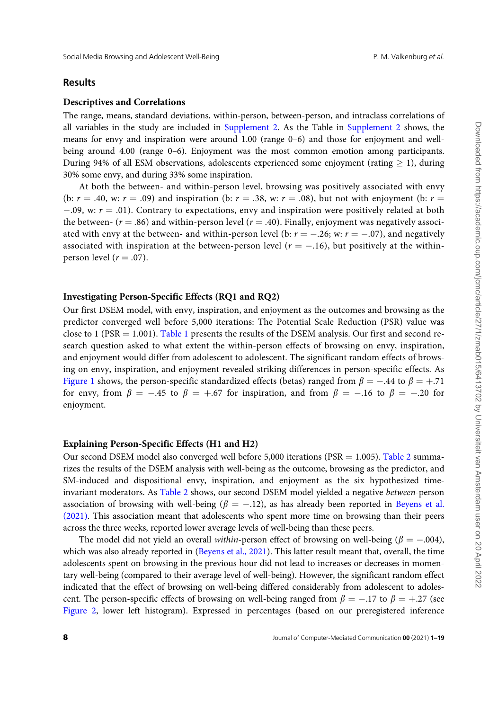#### Results

#### Descriptives and Correlations

The range, means, standard deviations, within-person, between-person, and intraclass correlations of all variables in the study are included in [Supplement 2](https://academic.oup.com/jcmc/article-lookup/doi/10.1093/jcmc/zmab015#supplementary-data). As the Table in Supplement 2 shows, the means for envy and inspiration were around 1.00 (range 0–6) and those for enjoyment and wellbeing around 4.00 (range 0–6). Enjoyment was the most common emotion among participants. During 94% of all ESM observations, adolescents experienced some enjoyment (rating  $> 1$ ), during 30% some envy, and during 33% some inspiration.

At both the between- and within-person level, browsing was positively associated with envy (b:  $r = .40$ , w:  $r = .09$ ) and inspiration (b:  $r = .38$ , w:  $r = .08$ ), but not with enjoyment (b:  $r =$  $-0.09$ , w:  $r = 0.01$ ). Contrary to expectations, envy and inspiration were positively related at both the between-  $(r = .86)$  and within-person level  $(r = .40)$ . Finally, enjoyment was negatively associated with envy at the between- and within-person level (b:  $r = -.26$ ; w:  $r = -.07$ ), and negatively associated with inspiration at the between-person level ( $r = -.16$ ), but positively at the withinperson level  $(r = .07)$ .

#### Investigating Person-Specific Effects (RQ1 and RQ2)

Our first DSEM model, with envy, inspiration, and enjoyment as the outcomes and browsing as the predictor converged well before 5,000 iterations: The Potential Scale Reduction (PSR) value was close to 1 (PSR  $=$  1.001). [Table 1](#page-9-0) presents the results of the DSEM analysis. Our first and second research question asked to what extent the within-person effects of browsing on envy, inspiration, and enjoyment would differ from adolescent to adolescent. The significant random effects of browsing on envy, inspiration, and enjoyment revealed striking differences in person-specific effects. As [Figure 1](#page-10-0) shows, the person-specific standardized effects (betas) ranged from  $\beta = -.44$  to  $\beta = +.71$ for envy, from  $\beta = -.45$  to  $\beta = +.67$  for inspiration, and from  $\beta = -.16$  to  $\beta = +.20$  for enjoyment.

#### Explaining Person-Specific Effects (H1 and H2)

Our second DSEM model also converged well before 5,000 iterations (PSR  $=$  1.005). [Table 2](#page-11-0) summarizes the results of the DSEM analysis with well-being as the outcome, browsing as the predictor, and SM-induced and dispositional envy, inspiration, and enjoyment as the six hypothesized timeinvariant moderators. As [Table 2](#page-11-0) shows, our second DSEM model yielded a negative between-person association of browsing with well-being ( $\beta = -.12$ ), as has already been reported in [Beyens et al.](#page-16-0) [\(2021\).](#page-16-0) This association meant that adolescents who spent more time on browsing than their peers across the three weeks, reported lower average levels of well-being than these peers.

The model did not yield an overall within-person effect of browsing on well-being ( $\beta = -.004$ ), which was also already reported in [\(Beyens et al., 2021\)](#page-16-0). This latter result meant that, overall, the time adolescents spent on browsing in the previous hour did not lead to increases or decreases in momentary well-being (compared to their average level of well-being). However, the significant random effect indicated that the effect of browsing on well-being differed considerably from adolescent to adolescent. The person-specific effects of browsing on well-being ranged from  $\beta = -.17$  to  $\beta = +.27$  (see [Figure 2,](#page-12-0) lower left histogram). Expressed in percentages (based on our preregistered inference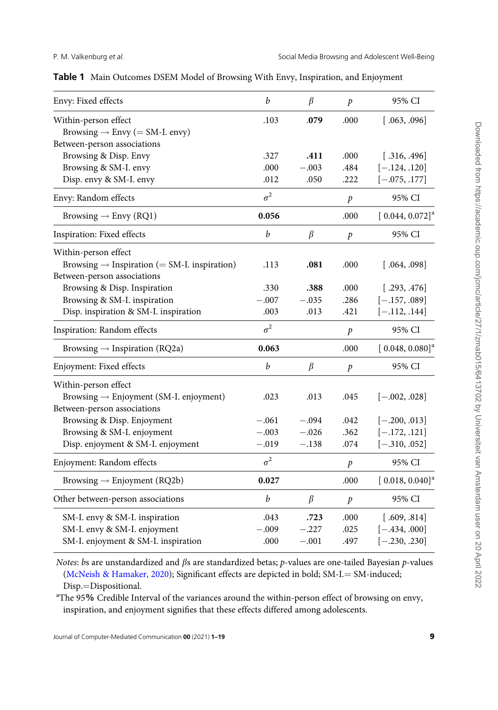<span id="page-9-0"></span>

|  |  |  |  | Table 1 Main Outcomes DSEM Model of Browsing With Envy, Inspiration, and Enjoyment |  |
|--|--|--|--|------------------------------------------------------------------------------------|--|
|--|--|--|--|------------------------------------------------------------------------------------|--|

| Envy: Fixed effects                                                | $\boldsymbol{b}$ | $\beta$ | $\mathcal{P}$    | 95% CI                        |
|--------------------------------------------------------------------|------------------|---------|------------------|-------------------------------|
| Within-person effect<br>Browsing $\rightarrow$ Envy (= SM-I. envy) | .103             | .079    | .000             | [.063, .096]                  |
| Between-person associations                                        |                  |         |                  |                               |
| Browsing & Disp. Envy                                              | .327             | .411    | .000             | [.316, .496]                  |
| Browsing & SM-I. envy                                              | .000             | $-.003$ | .484             | $[-.124, .120]$               |
| Disp. envy & SM-I. envy                                            | .012             | .050    | .222             | $[-.075, .177]$               |
| Envy: Random effects                                               | $\sigma^2$       |         | $\boldsymbol{p}$ | 95% CI                        |
| Browsing $\rightarrow$ Envy (RQ1)                                  | 0.056            |         | .000             | $[0.044, 0.072]$ <sup>a</sup> |
| Inspiration: Fixed effects                                         | $\boldsymbol{b}$ | $\beta$ | $\dot{p}$        | 95% CI                        |
| Within-person effect                                               |                  |         |                  |                               |
| Browsing $\rightarrow$ Inspiration (= SM-I. inspiration)           | .113             | .081    | .000             | [.064, .098]                  |
| Between-person associations                                        |                  |         |                  |                               |
| Browsing & Disp. Inspiration                                       | .330             | .388    | .000             | [.293, .476]                  |
| Browsing & SM-I. inspiration                                       | $-.007$          | $-.035$ | .286             | $[-.157, .089]$               |
| Disp. inspiration & SM-I. inspiration                              | .003             | .013    | .421             | $[-.112, .144]$               |
| Inspiration: Random effects                                        | $\sigma^2$       |         | $\boldsymbol{p}$ | 95% CI                        |
| Browsing $\rightarrow$ Inspiration (RQ2a)                          | 0.063            |         | .000             | $[0.048, 0.080]^a$            |
| Enjoyment: Fixed effects                                           | b                | $\beta$ | $\boldsymbol{p}$ | 95% CI                        |
| Within-person effect                                               |                  |         |                  |                               |
| Browsing $\rightarrow$ Enjoyment (SM-I. enjoyment)                 | .023             | .013    | .045             | $[-.002, .028]$               |
| Between-person associations                                        |                  |         |                  |                               |
| Browsing & Disp. Enjoyment                                         | $-.061$          | $-.094$ | .042             | $[-.200, .013]$               |
| Browsing & SM-I. enjoyment                                         | $-.003$          | $-.026$ | .362             | $[-.172, .121]$               |
| Disp. enjoyment & SM-I. enjoyment                                  | $-.019$          | $-.138$ | .074             | $[-.310, .052]$               |
| Enjoyment: Random effects                                          | $\sigma^2$       |         | $\boldsymbol{p}$ | 95% CI                        |
| Browsing $\rightarrow$ Enjoyment (RQ2b)                            | 0.027            |         | .000             | $[0.018, 0.040]$ <sup>a</sup> |
| Other between-person associations                                  | $\boldsymbol{b}$ | $\beta$ | $\mathcal{P}$    | 95% CI                        |
| SM-I. envy & SM-I. inspiration                                     | .043             | .723    | .000             | [.609, .814]                  |
| SM-I. envy & SM-I. enjoyment                                       | $-.009$          | $-.227$ | .025             | $[-.434, .000]$               |
| SM-I. enjoyment & SM-I. inspiration                                | .000             | $-.001$ | .497             | $[-.230, .230]$               |

Notes: bs are unstandardized and  $\beta$ s are standardized betas;  $p$ -values are one-tailed Bayesian  $p$ -values [\(McNeish](#page-17-0) & [Hamaker, 2020](#page-17-0)); Significant effects are depicted in bold;  $SM-I = SM$ -induced; Disp.=Dispositional.

<sup>a</sup>The 95% Credible Interval of the variances around the within-person effect of browsing on envy, inspiration, and enjoyment signifies that these effects differed among adolescents.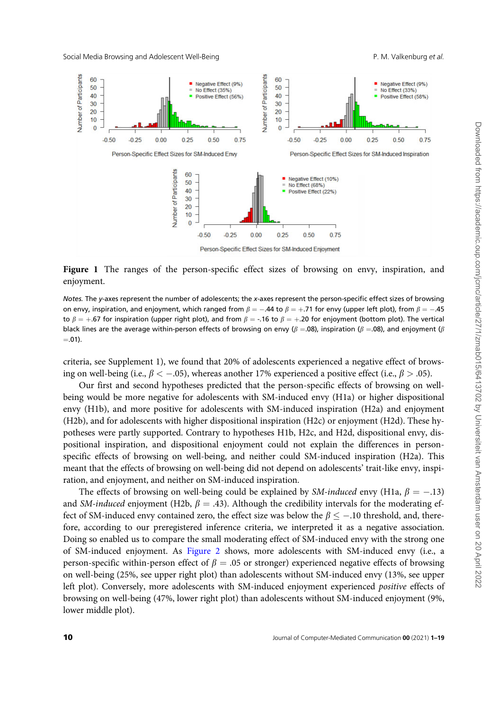<span id="page-10-0"></span>Social Media Browsing and Adolescent Well-Being P. M. Valkenburg et al.



Figure 1 The ranges of the person-specific effect sizes of browsing on envy, inspiration, and enjoyment.

Notes. The y-axes represent the number of adolescents; the x-axes represent the person-specific effect sizes of browsing on envy, inspiration, and enjoyment, which ranged from  $\beta=-.44$  to  $\beta=+.71$  for envy (upper left plot), from  $\beta=-.45$ to  $\beta = +.67$  for inspiration (upper right plot), and from  $\beta = -.16$  to  $\beta = +.20$  for enjoyment (bottom plot). The vertical black lines are the average within-person effects of browsing on envy ( $\beta = .08$ ), inspiration ( $\beta = .08$ ), and enjoyment ( $\beta$  $= .01$ ).

criteria, see Supplement 1), we found that 20% of adolescents experienced a negative effect of browsing on well-being (i.e.,  $\beta < -0.05$ ), whereas another 17% experienced a positive effect (i.e.,  $\beta > .05$ ).

Our first and second hypotheses predicted that the person-specific effects of browsing on wellbeing would be more negative for adolescents with SM-induced envy (H1a) or higher dispositional envy (H1b), and more positive for adolescents with SM-induced inspiration (H2a) and enjoyment (H2b), and for adolescents with higher dispositional inspiration (H2c) or enjoyment (H2d). These hypotheses were partly supported. Contrary to hypotheses H1b, H2c, and H2d, dispositional envy, dispositional inspiration, and dispositional enjoyment could not explain the differences in personspecific effects of browsing on well-being, and neither could SM-induced inspiration (H2a). This meant that the effects of browsing on well-being did not depend on adolescents' trait-like envy, inspiration, and enjoyment, and neither on SM-induced inspiration.

The effects of browsing on well-being could be explained by *SM-induced* envy (H1a,  $\beta = -.13$ ) and SM-induced enjoyment (H2b,  $\beta = .43$ ). Although the credibility intervals for the moderating effect of SM-induced envy contained zero, the effect size was below the  $\beta \leq -.10$  threshold, and, therefore, according to our preregistered inference criteria, we interpreted it as a negative association. Doing so enabled us to compare the small moderating effect of SM-induced envy with the strong one of SM-induced enjoyment. As [Figure 2](#page-12-0) shows, more adolescents with SM-induced envy (i.e., a person-specific within-person effect of  $\beta = 0.05$  or stronger) experienced negative effects of browsing on well-being (25%, see upper right plot) than adolescents without SM-induced envy (13%, see upper left plot). Conversely, more adolescents with SM-induced enjoyment experienced positive effects of browsing on well-being (47%, lower right plot) than adolescents without SM-induced enjoyment (9%, lower middle plot).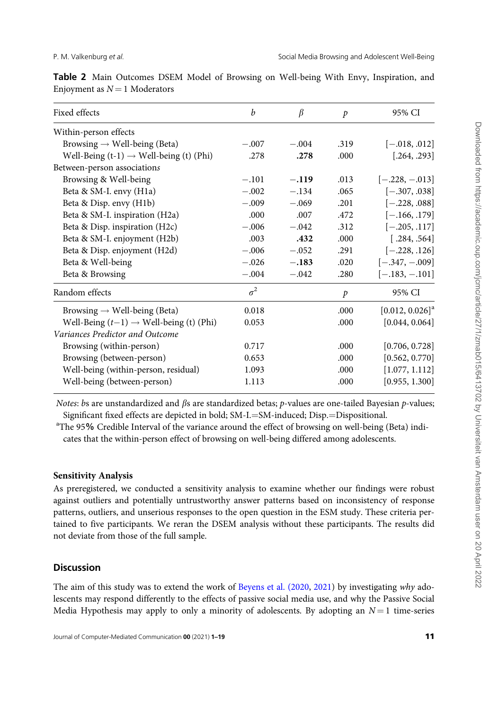| Fixed effects                                       | b          | $\beta$ | $\mathcal{P}$ | 95% CI                        |
|-----------------------------------------------------|------------|---------|---------------|-------------------------------|
| Within-person effects                               |            |         |               |                               |
| Browsing $\rightarrow$ Well-being (Beta)            | $-.007$    | $-.004$ | .319          | $[-.018, .012]$               |
| Well-Being $(t-1) \rightarrow$ Well-being (t) (Phi) | .278       | .278    | .000          | [.264, .293]                  |
| Between-person associations                         |            |         |               |                               |
| Browsing & Well-being                               | $-.101$    | $-.119$ | .013          | $[-.228, -.013]$              |
| Beta & SM-I. envy (H1a)                             | $-.002$    | $-.134$ | .065          | $[-.307, .038]$               |
| Beta & Disp. envy (H1b)                             | $-.009$    | $-.069$ | .201          | $[-.228, .088]$               |
| Beta & SM-I. inspiration (H2a)                      | .000       | .007    | .472          | $[-.166, .179]$               |
| Beta & Disp. inspiration (H2c)                      | $-.006$    | $-.042$ | .312          | $[-.205, .117]$               |
| Beta & SM-I. enjoyment (H2b)                        | .003       | .432    | .000          | [.284, .564]                  |
| Beta & Disp. enjoyment (H2d)                        | $-.006$    | $-.052$ | .291          | $[-.228, .126]$               |
| Beta & Well-being                                   | $-.026$    | $-.183$ | .020          | $[-.347, -.009]$              |
| Beta & Browsing                                     | $-.004$    | $-.042$ | .280          | $[-.183, -.101]$              |
| Random effects                                      | $\sigma^2$ |         | $\mathcal{P}$ | 95% CI                        |
| Browsing $\rightarrow$ Well-being (Beta)            | 0.018      |         | .000          | $[0.012, 0.026]$ <sup>a</sup> |
| Well-Being $(t-1) \rightarrow$ Well-being (t) (Phi) | 0.053      |         | .000          | [0.044, 0.064]                |
| Variances Predictor and Outcome                     |            |         |               |                               |
| Browsing (within-person)                            | 0.717      |         | .000          | [0.706, 0.728]                |
| Browsing (between-person)                           | 0.653      |         | .000          | [0.562, 0.770]                |
| Well-being (within-person, residual)                | 1.093      |         | .000          | [1.077, 1.112]                |
| Well-being (between-person)                         | 1.113      |         | .000          | [0.955, 1.300]                |
|                                                     |            |         |               |                               |

<span id="page-11-0"></span>Table 2 Main Outcomes DSEM Model of Browsing on Well-being With Envy, Inspiration, and Enjoyment as  $N = 1$  Moderators

Notes: bs are unstandardized and  $\beta s$  are standardized betas; p-values are one-tailed Bayesian p-values; Significant fixed effects are depicted in bold; SM-I.=SM-induced; Disp.=Dispositional.

<sup>a</sup>The 95% Credible Interval of the variance around the effect of browsing on well-being (Beta) indicates that the within-person effect of browsing on well-being differed among adolescents.

# Sensitivity Analysis

As preregistered, we conducted a sensitivity analysis to examine whether our findings were robust against outliers and potentially untrustworthy answer patterns based on inconsistency of response patterns, outliers, and unserious responses to the open question in the ESM study. These criteria pertained to five participants. We reran the DSEM analysis without these participants. The results did not deviate from those of the full sample.

# **Discussion**

The aim of this study was to extend the work of [Beyens et al. \(2020](#page-16-0), [2021](#page-16-0)) by investigating why adolescents may respond differently to the effects of passive social media use, and why the Passive Social Media Hypothesis may apply to only a minority of adolescents. By adopting an  $N = 1$  time-series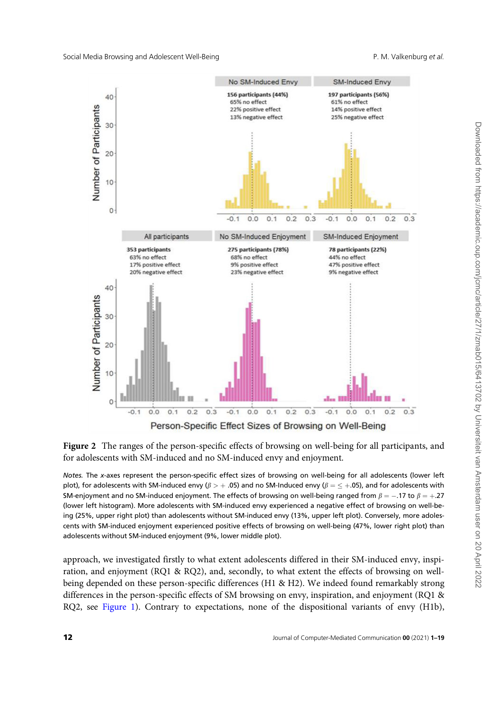<span id="page-12-0"></span>

Figure 2 The ranges of the person-specific effects of browsing on well-being for all participants, and for adolescents with SM-induced and no SM-induced envy and enjoyment.

Notes. The x-axes represent the person-specific effect sizes of browsing on well-being for all adolescents (lower left plot), for adolescents with SM-induced envy ( $\beta > +.05$ ) and no SM-Induced envy ( $\beta = \leq +.05$ ), and for adolescents with SM-enjoyment and no SM-induced enjoyment. The effects of browsing on well-being ranged from  $\beta = -.17$  to  $\beta = +.27$ (lower left histogram). More adolescents with SM-induced envy experienced a negative effect of browsing on well-being (25%, upper right plot) than adolescents without SM-induced envy (13%, upper left plot). Conversely, more adolescents with SM-induced enjoyment experienced positive effects of browsing on well-being (47%, lower right plot) than adolescents without SM-induced enjoyment (9%, lower middle plot).

approach, we investigated firstly to what extent adolescents differed in their SM-induced envy, inspiration, and enjoyment (RQ1 & RQ2), and, secondly, to what extent the effects of browsing on wellbeing depended on these person-specific differences (H1 & H2). We indeed found remarkably strong differences in the person-specific effects of SM browsing on envy, inspiration, and enjoyment (RQ1 & RQ2, see [Figure 1](#page-10-0)). Contrary to expectations, none of the dispositional variants of envy (H1b),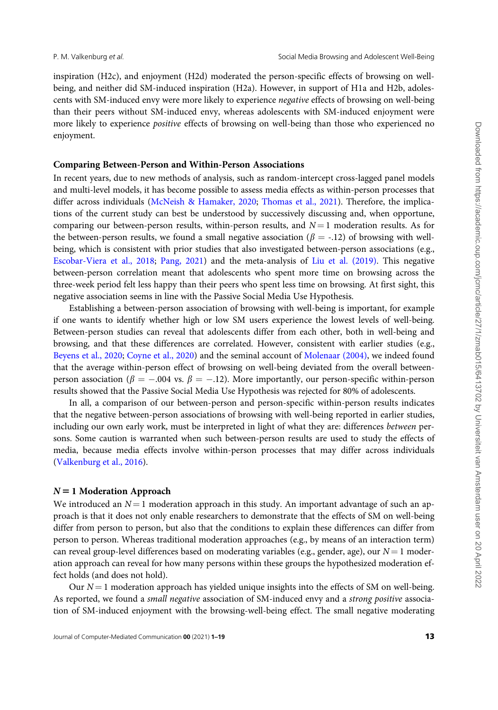inspiration (H2c), and enjoyment (H2d) moderated the person-specific effects of browsing on wellbeing, and neither did SM-induced inspiration (H2a). However, in support of H1a and H2b, adolescents with SM-induced envy were more likely to experience negative effects of browsing on well-being than their peers without SM-induced envy, whereas adolescents with SM-induced enjoyment were more likely to experience *positive* effects of browsing on well-being than those who experienced no enjoyment.

#### Comparing Between-Person and Within-Person Associations

In recent years, due to new methods of analysis, such as random-intercept cross-lagged panel models and multi-level models, it has become possible to assess media effects as within-person processes that differ across individuals ([McNeish & Hamaker, 2020;](#page-17-0) [Thomas et al., 2021](#page-18-0)). Therefore, the implications of the current study can best be understood by successively discussing and, when opportune, comparing our between-person results, within-person results, and  $N = 1$  moderation results. As for the between-person results, we found a small negative association ( $\beta = -12$ ) of browsing with wellbeing, which is consistent with prior studies that also investigated between-person associations (e.g., [Escobar-Viera et al., 2018;](#page-17-0) [Pang, 2021](#page-18-0)) and the meta-analysis of [Liu et al. \(2019\).](#page-17-0) This negative between-person correlation meant that adolescents who spent more time on browsing across the three-week period felt less happy than their peers who spent less time on browsing. At first sight, this negative association seems in line with the Passive Social Media Use Hypothesis.

Establishing a between-person association of browsing with well-being is important, for example if one wants to identify whether high or low SM users experience the lowest levels of well-being. Between-person studies can reveal that adolescents differ from each other, both in well-being and browsing, and that these differences are correlated. However, consistent with earlier studies (e.g., [Beyens et al., 2020;](#page-16-0) [Coyne et al., 2020\)](#page-16-0) and the seminal account of [Molenaar \(2004\)](#page-17-0), we indeed found that the average within-person effect of browsing on well-being deviated from the overall betweenperson association ( $\beta = -.004$  vs.  $\beta = -.12$ ). More importantly, our person-specific within-person results showed that the Passive Social Media Use Hypothesis was rejected for 80% of adolescents.

In all, a comparison of our between-person and person-specific within-person results indicates that the negative between-person associations of browsing with well-being reported in earlier studies, including our own early work, must be interpreted in light of what they are: differences between persons. Some caution is warranted when such between-person results are used to study the effects of media, because media effects involve within-person processes that may differ across individuals [\(Valkenburg et al., 2016\)](#page-19-0).

#### $N = 1$  Moderation Approach

We introduced an  $N = 1$  moderation approach in this study. An important advantage of such an approach is that it does not only enable researchers to demonstrate that the effects of SM on well-being differ from person to person, but also that the conditions to explain these differences can differ from person to person. Whereas traditional moderation approaches (e.g., by means of an interaction term) can reveal group-level differences based on moderating variables (e.g., gender, age), our  $N = 1$  moderation approach can reveal for how many persons within these groups the hypothesized moderation effect holds (and does not hold).

Our  $N = 1$  moderation approach has yielded unique insights into the effects of SM on well-being. As reported, we found a small negative association of SM-induced envy and a strong positive association of SM-induced enjoyment with the browsing-well-being effect. The small negative moderating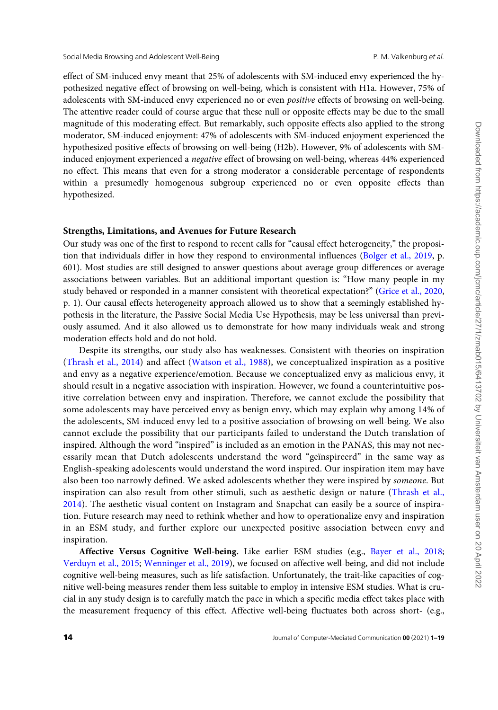effect of SM-induced envy meant that 25% of adolescents with SM-induced envy experienced the hypothesized negative effect of browsing on well-being, which is consistent with H1a. However, 75% of adolescents with SM-induced envy experienced no or even positive effects of browsing on well-being. The attentive reader could of course argue that these null or opposite effects may be due to the small magnitude of this moderating effect. But remarkably, such opposite effects also applied to the strong moderator, SM-induced enjoyment: 47% of adolescents with SM-induced enjoyment experienced the hypothesized positive effects of browsing on well-being (H2b). However, 9% of adolescents with SMinduced enjoyment experienced a negative effect of browsing on well-being, whereas 44% experienced no effect. This means that even for a strong moderator a considerable percentage of respondents within a presumedly homogenous subgroup experienced no or even opposite effects than hypothesized.

#### Strengths, Limitations, and Avenues for Future Research

Our study was one of the first to respond to recent calls for "causal effect heterogeneity," the proposition that individuals differ in how they respond to environmental influences [\(Bolger et al., 2019](#page-16-0), p. 601). Most studies are still designed to answer questions about average group differences or average associations between variables. But an additional important question is: "How many people in my study behaved or responded in a manner consistent with theoretical expectation?" ([Grice et al., 2020](#page-17-0), p. 1). Our causal effects heterogeneity approach allowed us to show that a seemingly established hypothesis in the literature, the Passive Social Media Use Hypothesis, may be less universal than previously assumed. And it also allowed us to demonstrate for how many individuals weak and strong moderation effects hold and do not hold.

Despite its strengths, our study also has weaknesses. Consistent with theories on inspiration [\(Thrash et al., 2014\)](#page-18-0) and affect [\(Watson et al., 1988](#page-19-0)), we conceptualized inspiration as a positive and envy as a negative experience/emotion. Because we conceptualized envy as malicious envy, it should result in a negative association with inspiration. However, we found a counterintuitive positive correlation between envy and inspiration. Therefore, we cannot exclude the possibility that some adolescents may have perceived envy as benign envy, which may explain why among 14% of the adolescents, SM-induced envy led to a positive association of browsing on well-being. We also cannot exclude the possibility that our participants failed to understand the Dutch translation of inspired. Although the word "inspired" is included as an emotion in the PANAS, this may not necessarily mean that Dutch adolescents understand the word "geïnspireerd" in the same way as English-speaking adolescents would understand the word inspired. Our inspiration item may have also been too narrowly defined. We asked adolescents whether they were inspired by someone. But inspiration can also result from other stimuli, such as aesthetic design or nature [\(Thrash et al.,](#page-18-0) [2014\)](#page-18-0). The aesthetic visual content on Instagram and Snapchat can easily be a source of inspiration. Future research may need to rethink whether and how to operationalize envy and inspiration in an ESM study, and further explore our unexpected positive association between envy and inspiration.

Affective Versus Cognitive Well-being. Like earlier ESM studies (e.g., [Bayer et al., 2018](#page-16-0); [Verduyn et al., 2015](#page-19-0); [Wenninger et al., 2019](#page-19-0)), we focused on affective well-being, and did not include cognitive well-being measures, such as life satisfaction. Unfortunately, the trait-like capacities of cognitive well-being measures render them less suitable to employ in intensive ESM studies. What is crucial in any study design is to carefully match the pace in which a specific media effect takes place with the measurement frequency of this effect. Affective well-being fluctuates both across short- (e.g.,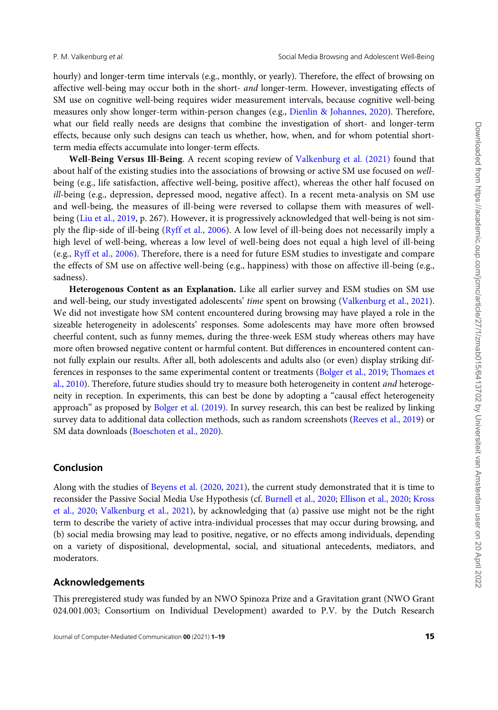hourly) and longer-term time intervals (e.g., monthly, or yearly). Therefore, the effect of browsing on affective well-being may occur both in the short- and longer-term. However, investigating effects of SM use on cognitive well-being requires wider measurement intervals, because cognitive well-being measures only show longer-term within-person changes (e.g., [Dienlin](#page-16-0) & [Johannes, 2020\)](#page-16-0). Therefore, what our field really needs are designs that combine the investigation of short- and longer-term effects, because only such designs can teach us whether, how, when, and for whom potential shortterm media effects accumulate into longer-term effects.

Well-Being Versus Ill-Being. A recent scoping review of [Valkenburg et al. \(2021\)](#page-19-0) found that about half of the existing studies into the associations of browsing or active SM use focused on wellbeing (e.g., life satisfaction, affective well-being, positive affect), whereas the other half focused on ill-being (e.g., depression, depressed mood, negative affect). In a recent meta-analysis on SM use and well-being, the measures of ill-being were reversed to collapse them with measures of wellbeing ([Liu et al., 2019](#page-17-0), p. 267). However, it is progressively acknowledged that well-being is not simply the flip-side of ill-being ([Ryff et al., 2006](#page-18-0)). A low level of ill-being does not necessarily imply a high level of well-being, whereas a low level of well-being does not equal a high level of ill-being (e.g., [Ryff et al., 2006](#page-18-0)). Therefore, there is a need for future ESM studies to investigate and compare the effects of SM use on affective well-being (e.g., happiness) with those on affective ill-being (e.g., sadness).

Heterogenous Content as an Explanation. Like all earlier survey and ESM studies on SM use and well-being, our study investigated adolescents' time spent on browsing ([Valkenburg et al., 2021](#page-19-0)). We did not investigate how SM content encountered during browsing may have played a role in the sizeable heterogeneity in adolescents' responses. Some adolescents may have more often browsed cheerful content, such as funny memes, during the three-week ESM study whereas others may have more often browsed negative content or harmful content. But differences in encountered content cannot fully explain our results. After all, both adolescents and adults also (or even) display striking differences in responses to the same experimental content or treatments ([Bolger et al., 2019;](#page-16-0) [Thomaes et](#page-18-0) [al., 2010](#page-18-0)). Therefore, future studies should try to measure both heterogeneity in content and heterogeneity in reception. In experiments, this can best be done by adopting a "causal effect heterogeneity approach" as proposed by [Bolger et al. \(2019\).](#page-16-0) In survey research, this can best be realized by linking survey data to additional data collection methods, such as random screenshots ([Reeves et al., 2019\)](#page-18-0) or SM data downloads [\(Boeschoten et al., 2020\)](#page-16-0).

#### Conclusion

Along with the studies of [Beyens et al. \(2020](#page-16-0), [2021](#page-16-0)), the current study demonstrated that it is time to reconsider the Passive Social Media Use Hypothesis (cf. [Burnell et al., 2020](#page-16-0); [Ellison et al., 2020](#page-16-0); [Kross](#page-17-0) [et al., 2020;](#page-17-0) [Valkenburg et al., 2021\)](#page-19-0), by acknowledging that (a) passive use might not be the right term to describe the variety of active intra-individual processes that may occur during browsing, and (b) social media browsing may lead to positive, negative, or no effects among individuals, depending on a variety of dispositional, developmental, social, and situational antecedents, mediators, and moderators.

#### Acknowledgements

This preregistered study was funded by an NWO Spinoza Prize and a Gravitation grant (NWO Grant 024.001.003; Consortium on Individual Development) awarded to P.V. by the Dutch Research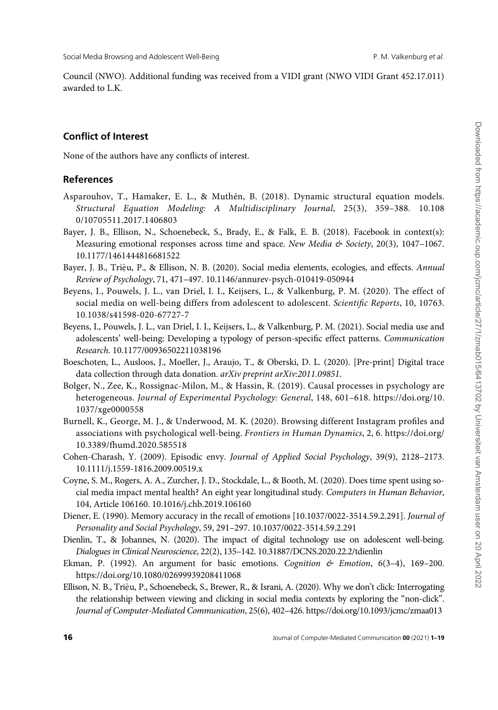<span id="page-16-0"></span>Council (NWO). Additional funding was received from a VIDI grant (NWO VIDI Grant 452.17.011) awarded to L.K.

## Conflict of Interest

None of the authors have any conflicts of interest.

#### References

- Asparouhov, T., Hamaker, E. L., & Muthén, B. (2018). Dynamic structural equation models. Structural Equation Modeling: A Multidisciplinary Journal, 25(3), 359–388. 10.108 0/10705511.2017.1406803
- Bayer, J. B., Ellison, N., Schoenebeck, S., Brady, E., & Falk, E. B. (2018). Facebook in context(s): Measuring emotional responses across time and space. New Media & Society, 20(3), 1047-1067. 10.1177/1461444816681522
- Bayer, J. B., Triệu, P., & Ellison, N. B. (2020). Social media elements, ecologies, and effects. Annual Review of Psychology, 71, 471–497. 10.1146/annurev-psych-010419-050944
- Beyens, I., Pouwels, J. L., van Driel, I. I., Keijsers, L., & Valkenburg, P. M. (2020). The effect of social media on well-being differs from adolescent to adolescent. Scientific Reports, 10, 10763. 10.1038/s41598-020-67727-7
- Beyens, I., Pouwels, J. L., van Driel, I. I., Keijsers, L., & Valkenburg, P. M. (2021). Social media use and adolescents' well-being: Developing a typology of person-specific effect patterns. Communication Research. 10.1177/00936502211038196
- Boeschoten, L., Ausloos, J., Moeller, J., Araujo, T., & Oberski, D. L. (2020). [Pre-print] Digital trace data collection through data donation. arXiv preprint arXiv:2011.09851.
- Bolger, N., Zee, K., Rossignac-Milon, M., & Hassin, R. (2019). Causal processes in psychology are heterogeneous. Journal of Experimental Psychology: General, 148, 601–618. [https://doi.org/10.](https://doi.org/10.1037/xge0000558) [1037/xge0000558](https://doi.org/10.1037/xge0000558)
- Burnell, K., George, M. J., & Underwood, M. K. (2020). Browsing different Instagram profiles and associations with psychological well-being. Frontiers in Human Dynamics, 2, 6. [https://doi.org/](https://doi.org/10.3389/fhumd.2020.585518) [10.3389/fhumd.2020.585518](https://doi.org/10.3389/fhumd.2020.585518)
- Cohen-Charash, Y. (2009). Episodic envy. Journal of Applied Social Psychology, 39(9), 2128–2173. 10.1111/j.1559-1816.2009.00519.x
- Coyne, S. M., Rogers, A. A., Zurcher, J. D., Stockdale, L., & Booth, M. (2020). Does time spent using social media impact mental health? An eight year longitudinal study. Computers in Human Behavior, 104, Article 106160. 10.1016/j.chb.2019.106160
- Diener, E. (1990). Memory accuracy in the recall of emotions [10.1037/0022-3514.59.2.291]. Journal of Personality and Social Psychology, 59, 291–297. 10.1037/0022-3514.59.2.291
- Dienlin, T., & Johannes, N. (2020). The impact of digital technology use on adolescent well-being. Dialogues in Clinical Neuroscience, 22(2), 135–142. 10.31887/DCNS.2020.22.2/tdienlin
- Ekman, P. (1992). An argument for basic emotions. Cognition  $\mathfrak{G}$  Emotion, 6(3-4), 169-200. <https://doi.org/10.1080/02699939208411068>
- Ellison, N. B., Triệu, P., Schoenebeck, S., Brewer, R., & Israni, A. (2020). Why we don't click: Interrogating the relationship between viewing and clicking in social media contexts by exploring the "non-click". Journal of Computer-Mediated Communication, 25(6), 402–426.<https://doi.org/10.1093/jcmc/zmaa013>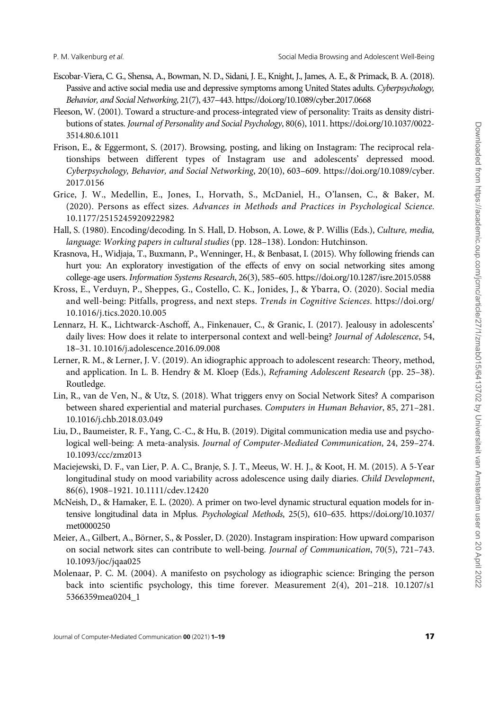- <span id="page-17-0"></span>Escobar-Viera, C. G., Shensa, A., Bowman, N. D., Sidani, J. E., Knight, J., James, A. E., & Primack, B. A. (2018). Passive and active social media use and depressive symptoms among United States adults. Cyberpsychology, Behavior, and Social Networking, 21(7), 437–443.<https://doi.org/10.1089/cyber.2017.0668>
- Fleeson, W. (2001). Toward a structure-and process-integrated view of personality: Traits as density distributions of states. Journal of Personality and Social Psychology, 80(6), 1011. [https://doi.org/10.1037/0022-](https://doi.org/10.1037/0022-3514.80.6.1011) [3514.80.6.1011](https://doi.org/10.1037/0022-3514.80.6.1011)
- Frison, E., & Eggermont, S. (2017). Browsing, posting, and liking on Instagram: The reciprocal relationships between different types of Instagram use and adolescents' depressed mood. Cyberpsychology, Behavior, and Social Networking, 20(10), 603–609. [https://doi.org/10.1089/cyber.](https://doi.org/10.1089/cyber.2017.0156) [2017.0156](https://doi.org/10.1089/cyber.2017.0156)
- Grice, J. W., Medellin, E., Jones, I., Horvath, S., McDaniel, H., O'lansen, C., & Baker, M. (2020). Persons as effect sizes. Advances in Methods and Practices in Psychological Science. 10.1177/2515245920922982
- Hall, S. (1980). Encoding/decoding. In S. Hall, D. Hobson, A. Lowe, & P. Willis (Eds.), Culture, media, language: Working papers in cultural studies (pp. 128–138). London: Hutchinson.
- Krasnova, H., Widjaja, T., Buxmann, P., Wenninger, H., & Benbasat, I. (2015). Why following friends can hurt you: An exploratory investigation of the effects of envy on social networking sites among college-age users. Information Systems Research, 26(3), 585–605.<https://doi.org/10.1287/isre.2015.0588>
- Kross, E., Verduyn, P., Sheppes, G., Costello, C. K., Jonides, J., & Ybarra, O. (2020). Social media and well-being: Pitfalls, progress, and next steps. Trends in Cognitive Sciences. [https://doi.org/](https://doi.org/10.1016/j.tics.2020.10.005) [10.1016/j.tics.2020.10.005](https://doi.org/10.1016/j.tics.2020.10.005)
- Lennarz, H. K., Lichtwarck-Aschoff, A., Finkenauer, C., & Granic, I. (2017). Jealousy in adolescents' daily lives: How does it relate to interpersonal context and well-being? Journal of Adolescence, 54, 18–31. 10.1016/j.adolescence.2016.09.008
- Lerner, R. M., & Lerner, J. V. (2019). An idiographic approach to adolescent research: Theory, method, and application. In L. B. Hendry & M. Kloep (Eds.), Reframing Adolescent Research (pp. 25–38). Routledge.
- Lin, R., van de Ven, N., & Utz, S. (2018). What triggers envy on Social Network Sites? A comparison between shared experiential and material purchases. Computers in Human Behavior, 85, 271–281. 10.1016/j.chb.2018.03.049
- Liu, D., Baumeister, R. F., Yang, C.-C., & Hu, B. (2019). Digital communication media use and psychological well-being: A meta-analysis. Journal of Computer-Mediated Communication, 24, 259–274. 10.1093/ccc/zmz013
- Maciejewski, D. F., van Lier, P. A. C., Branje, S. J. T., Meeus, W. H. J., & Koot, H. M. (2015). A 5-Year longitudinal study on mood variability across adolescence using daily diaries. Child Development, 86(6), 1908–1921. 10.1111/cdev.12420
- McNeish, D., & Hamaker, E. L. (2020). A primer on two-level dynamic structural equation models for intensive longitudinal data in Mplus. Psychological Methods, 25(5), 610–635. [https://doi.org/10.1037/](https://doi.org/10.1037/met0000250) [met0000250](https://doi.org/10.1037/met0000250)
- Meier, A., Gilbert, A., Börner, S., & Possler, D. (2020). Instagram inspiration: How upward comparison on social network sites can contribute to well-being. Journal of Communication, 70(5), 721–743. 10.1093/joc/jqaa025
- Molenaar, P. C. M. (2004). A manifesto on psychology as idiographic science: Bringing the person back into scientific psychology, this time forever. Measurement 2(4), 201–218. 10.1207/s1 5366359mea0204\_1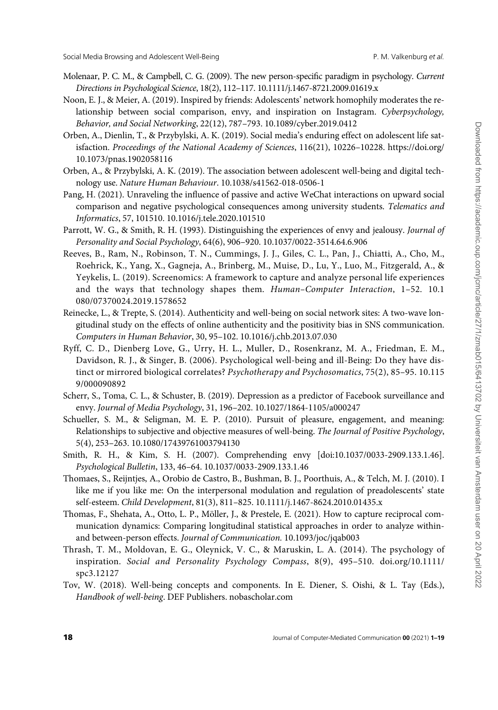- <span id="page-18-0"></span>Molenaar, P. C. M., & Campbell, C. G. (2009). The new person-specific paradigm in psychology. Current Directions in Psychological Science, 18(2), 112–117. 10.1111/j.1467-8721.2009.01619.x
- Noon, E. J., & Meier, A. (2019). Inspired by friends: Adolescents' network homophily moderates the relationship between social comparison, envy, and inspiration on Instagram. Cyberpsychology, Behavior, and Social Networking, 22(12), 787–793. 10.1089/cyber.2019.0412
- Orben, A., Dienlin, T., & Przybylski, A. K. (2019). Social media's enduring effect on adolescent life satisfaction. Proceedings of the National Academy of Sciences, 116(21), 10226–10228. [https://doi.org/](https://doi.org/10.1073/pnas.1902058116) [10.1073/pnas.1902058116](https://doi.org/10.1073/pnas.1902058116)
- Orben, A., & Przybylski, A. K. (2019). The association between adolescent well-being and digital technology use. Nature Human Behaviour. 10.1038/s41562-018-0506-1
- Pang, H. (2021). Unraveling the influence of passive and active WeChat interactions on upward social comparison and negative psychological consequences among university students. Telematics and Informatics, 57, 101510. 10.1016/j.tele.2020.101510
- Parrott, W. G., & Smith, R. H. (1993). Distinguishing the experiences of envy and jealousy. Journal of Personality and Social Psychology, 64(6), 906–920. 10.1037/0022-3514.64.6.906
- Reeves, B., Ram, N., Robinson, T. N., Cummings, J. J., Giles, C. L., Pan, J., Chiatti, A., Cho, M., Roehrick, K., Yang, X., Gagneja, A., Brinberg, M., Muise, D., Lu, Y., Luo, M., Fitzgerald, A., & Yeykelis, L. (2019). Screenomics: A framework to capture and analyze personal life experiences and the ways that technology shapes them. Human-Computer Interaction, 1-52. 10.1 080/07370024.2019.1578652
- Reinecke, L., & Trepte, S. (2014). Authenticity and well-being on social network sites: A two-wave longitudinal study on the effects of online authenticity and the positivity bias in SNS communication. Computers in Human Behavior, 30, 95–102. 10.1016/j.chb.2013.07.030
- Ryff, C. D., Dienberg Love, G., Urry, H. L., Muller, D., Rosenkranz, M. A., Friedman, E. M., Davidson, R. J., & Singer, B. (2006). Psychological well-being and ill-Being: Do they have distinct or mirrored biological correlates? Psychotherapy and Psychosomatics, 75(2), 85–95. 10.115 9/000090892
- Scherr, S., Toma, C. L., & Schuster, B. (2019). Depression as a predictor of Facebook surveillance and envy. Journal of Media Psychology, 31, 196–202. 10.1027/1864-1105/a000247
- Schueller, S. M., & Seligman, M. E. P. (2010). Pursuit of pleasure, engagement, and meaning: Relationships to subjective and objective measures of well-being. The Journal of Positive Psychology, 5(4), 253–263. 10.1080/17439761003794130
- Smith, R. H., & Kim, S. H. (2007). Comprehending envy [doi:10.1037/0033-2909.133.1.46]. Psychological Bulletin, 133, 46–64. 10.1037/0033-2909.133.1.46
- Thomaes, S., Reijntjes, A., Orobio de Castro, B., Bushman, B. J., Poorthuis, A., & Telch, M. J. (2010). I like me if you like me: On the interpersonal modulation and regulation of preadolescents' state self-esteem. Child Development, 81(3), 811–825. 10.1111/j.1467-8624.2010.01435.x
- Thomas, F., Shehata, A., Otto, L. P., Möller, J., & Prestele, E. (2021). How to capture reciprocal communication dynamics: Comparing longitudinal statistical approaches in order to analyze withinand between-person effects. Journal of Communication. 10.1093/joc/jqab003
- Thrash, T. M., Moldovan, E. G., Oleynick, V. C., & Maruskin, L. A. (2014). The psychology of inspiration. Social and Personality Psychology Compass, 8(9), 495–510. doi.org/10.1111/ spc3.12127
- Tov, W. (2018). Well-being concepts and components. In E. Diener, S. Oishi, & L. Tay (Eds.), Handbook of well-being. DEF Publishers. nobascholar.com